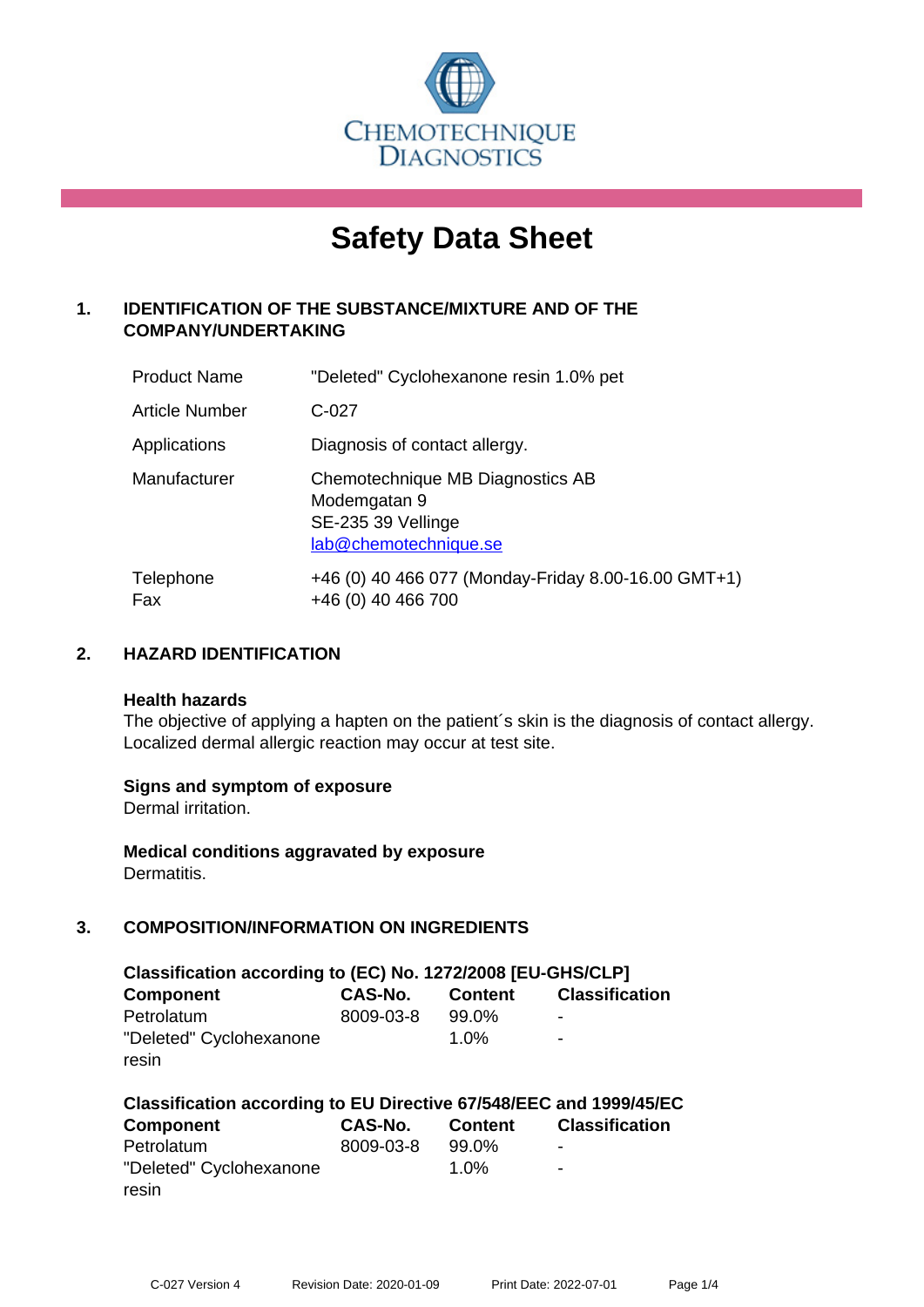

# **Safety Data Sheet**

# **1. IDENTIFICATION OF THE SUBSTANCE/MIXTURE AND OF THE COMPANY/UNDERTAKING**

| <b>Product Name</b>   | "Deleted" Cyclohexanone resin 1.0% pet                                                          |
|-----------------------|-------------------------------------------------------------------------------------------------|
| <b>Article Number</b> | $C-027$                                                                                         |
| Applications          | Diagnosis of contact allergy.                                                                   |
| Manufacturer          | Chemotechnique MB Diagnostics AB<br>Modemgatan 9<br>SE-235 39 Vellinge<br>lab@chemotechnique.se |
| Telephone<br>Fax      | +46 (0) 40 466 077 (Monday-Friday 8.00-16.00 GMT+1)<br>+46 (0) 40 466 700                       |

## **2. HAZARD IDENTIFICATION**

#### **Health hazards**

The objective of applying a hapten on the patient's skin is the diagnosis of contact allergy. Localized dermal allergic reaction may occur at test site.

## **Signs and symptom of exposure**

Dermal irritation.

**Medical conditions aggravated by exposure** Dermatitis.

# **3. COMPOSITION/INFORMATION ON INGREDIENTS**

| Classification according to (EC) No. 1272/2008 [EU-GHS/CLP] |                |                |                       |  |
|-------------------------------------------------------------|----------------|----------------|-----------------------|--|
| <b>Component</b>                                            | <b>CAS-No.</b> | <b>Content</b> | <b>Classification</b> |  |
| Petrolatum                                                  | 8009-03-8      | 99.0%          | ۰                     |  |
| "Deleted" Cyclohexanone                                     |                | 1.0%           | -                     |  |
| resin                                                       |                |                |                       |  |

| Classification according to EU Directive 67/548/EEC and 1999/45/EC |                |         |                          |  |  |
|--------------------------------------------------------------------|----------------|---------|--------------------------|--|--|
| Component                                                          | <b>CAS-No.</b> | Content | <b>Classification</b>    |  |  |
| Petrolatum                                                         | 8009-03-8      | 99.0%   | $\overline{\phantom{a}}$ |  |  |
| "Deleted" Cyclohexanone                                            |                | $1.0\%$ | $\overline{\phantom{a}}$ |  |  |
| resin                                                              |                |         |                          |  |  |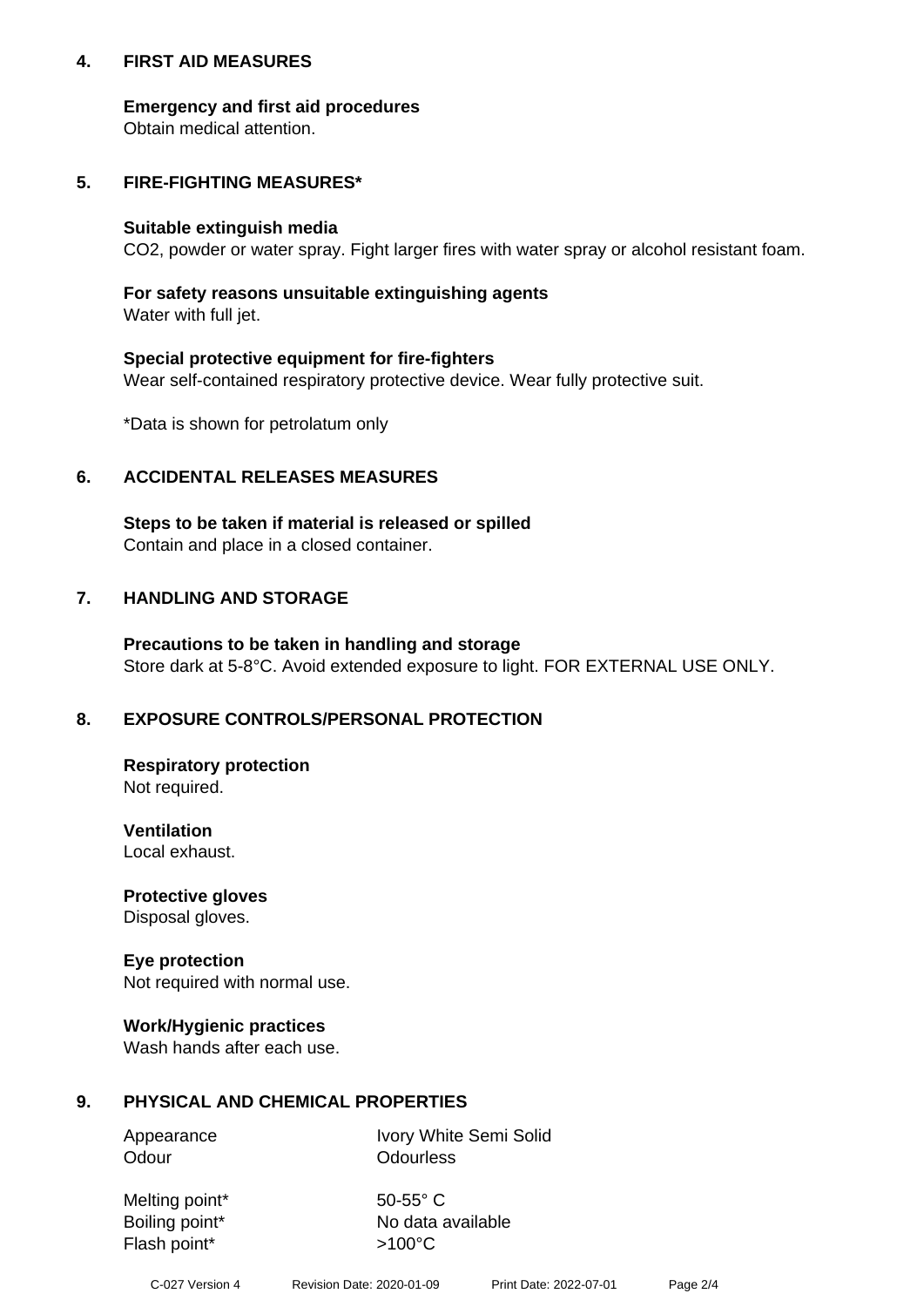## **4. FIRST AID MEASURES**

## **Emergency and first aid procedures**

Obtain medical attention.

## **5. FIRE-FIGHTING MEASURES\***

#### **Suitable extinguish media**

CO2, powder or water spray. Fight larger fires with water spray or alcohol resistant foam.

## **For safety reasons unsuitable extinguishing agents**

Water with full jet.

## **Special protective equipment for fire-fighters**

Wear self-contained respiratory protective device. Wear fully protective suit.

\*Data is shown for petrolatum only

## **6. ACCIDENTAL RELEASES MEASURES**

**Steps to be taken if material is released or spilled** Contain and place in a closed container.

# **7. HANDLING AND STORAGE**

**Precautions to be taken in handling and storage** Store dark at 5-8°C. Avoid extended exposure to light. FOR EXTERNAL USE ONLY.

# **8. EXPOSURE CONTROLS/PERSONAL PROTECTION**

**Respiratory protection** Not required.

**Ventilation** Local exhaust.

**Protective gloves** Disposal gloves.

#### **Eye protection** Not required with normal use.

## **Work/Hygienic practices**

Wash hands after each use.

## **9. PHYSICAL AND CHEMICAL PROPERTIES**

Odour **Odourless** 

Appearance Ivory White Semi Solid

Melting point\* 50-55° C Flash point\*  $>100^{\circ}$ C

Boiling point\* No data available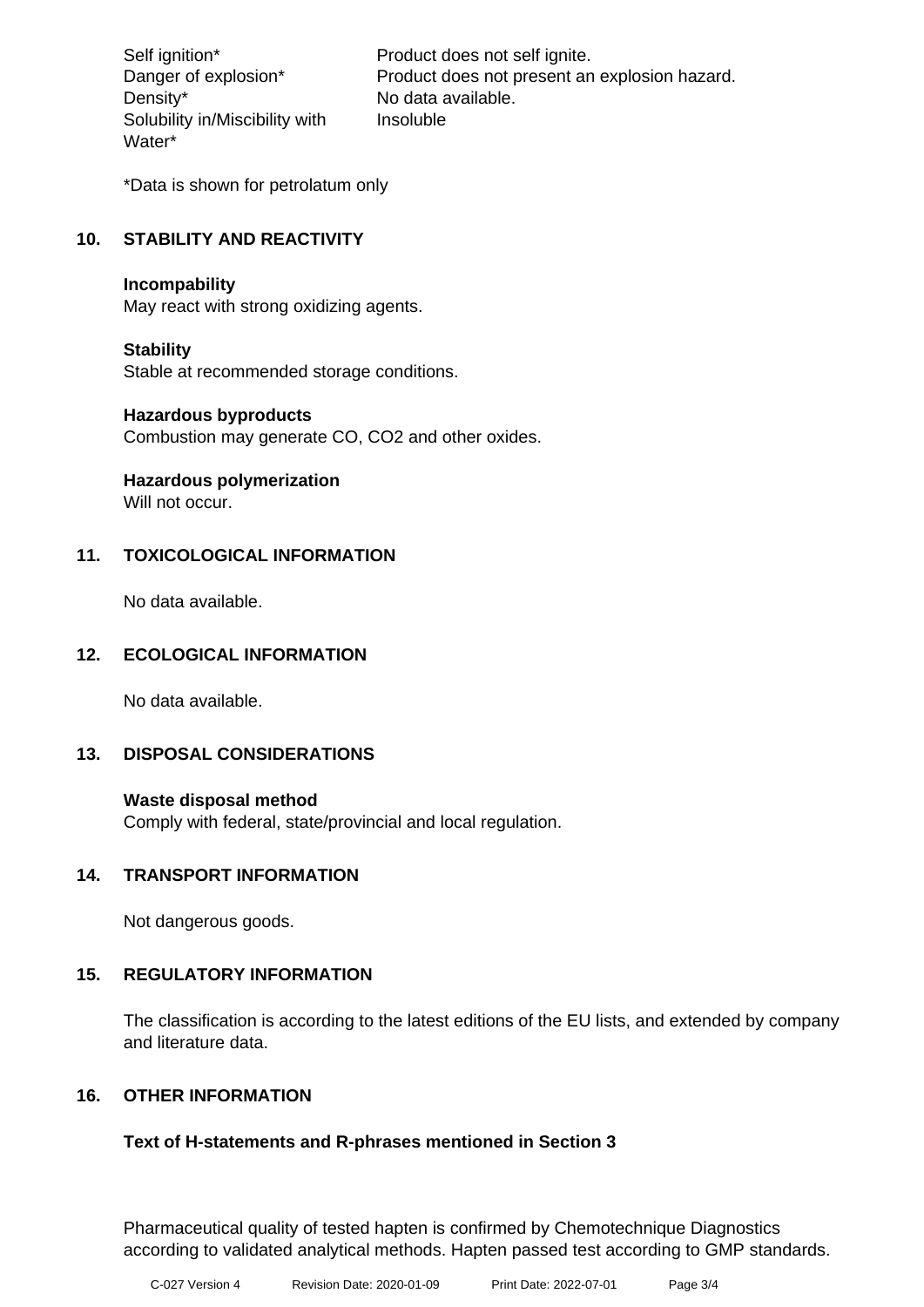Density\* No data available. Solubility in/Miscibility with Water\*

Self ignition\* Product does not self ignite. Danger of explosion\* Product does not present an explosion hazard. Insoluble

\*Data is shown for petrolatum only

# **10. STABILITY AND REACTIVITY**

#### **Incompability**

May react with strong oxidizing agents.

## **Stability**

Stable at recommended storage conditions.

#### **Hazardous byproducts**

Combustion may generate CO, CO2 and other oxides.

**Hazardous polymerization**

Will not occur.

## **11. TOXICOLOGICAL INFORMATION**

No data available.

## **12. ECOLOGICAL INFORMATION**

No data available.

## **13. DISPOSAL CONSIDERATIONS**

#### **Waste disposal method**

Comply with federal, state/provincial and local regulation.

#### **14. TRANSPORT INFORMATION**

Not dangerous goods.

## **15. REGULATORY INFORMATION**

The classification is according to the latest editions of the EU lists, and extended by company and literature data.

## **16. OTHER INFORMATION**

## **Text of H-statements and R-phrases mentioned in Section 3**

Pharmaceutical quality of tested hapten is confirmed by Chemotechnique Diagnostics according to validated analytical methods. Hapten passed test according to GMP standards.